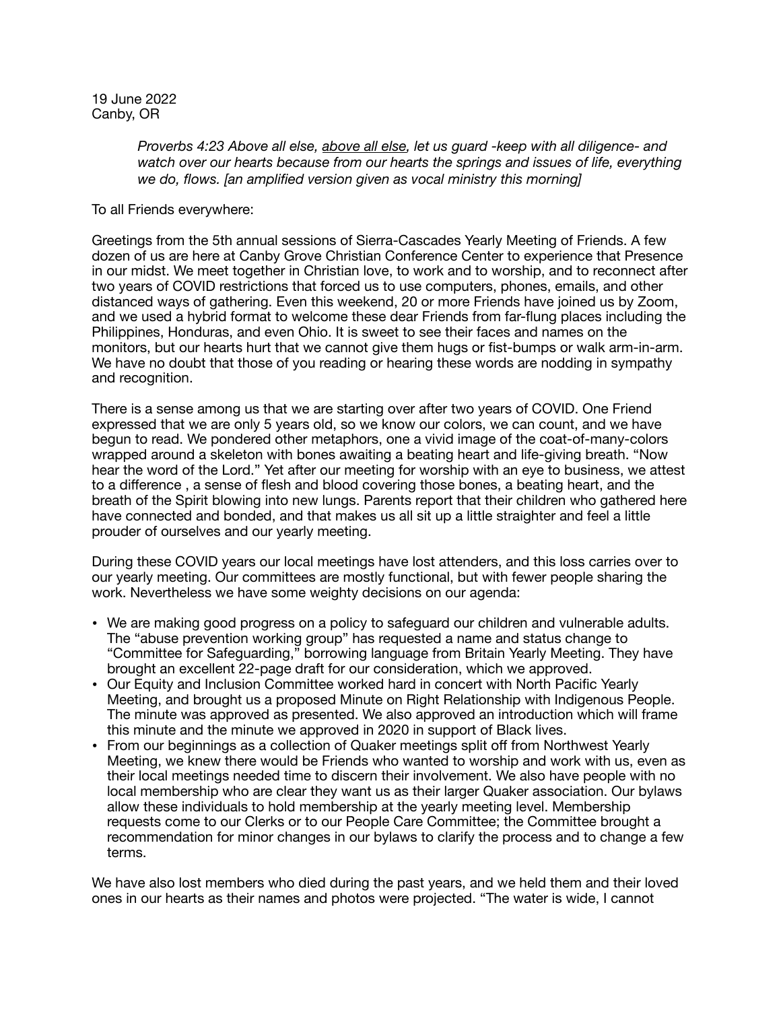19 June 2022 Canby, OR

> *[Proverbs 4:23 Abo](http://www.apple.com)ve all else, above all else, let us guard -keep with all diligence- and watch over our hearts because from our hearts the springs and issues of life, everything we do, flows. [an amplified version given as vocal ministry this morning]*

To all Friends everywhere:

Greetings from the 5th annual sessions of Sierra-Cascades Yearly Meeting of Friends. A few dozen of us are here at Canby Grove Christian Conference Center to experience that Presence in our midst. We meet together in Christian love, to work and to worship, and to reconnect after two years of COVID restrictions that forced us to use computers, phones, emails, and other distanced ways of gathering. Even this weekend, 20 or more Friends have joined us by Zoom, and we used a hybrid format to welcome these dear Friends from far-flung places including the Philippines, Honduras, and even Ohio. It is sweet to see their faces and names on the monitors, but our hearts hurt that we cannot give them hugs or fist-bumps or walk arm-in-arm. We have no doubt that those of you reading or hearing these words are nodding in sympathy and recognition.

There is a sense among us that we are starting over after two years of COVID. One Friend expressed that we are only 5 years old, so we know our colors, we can count, and we have begun to read. We pondered other metaphors, one a vivid image of the coat-of-many-colors wrapped around a skeleton with bones awaiting a beating heart and life-giving breath. "Now hear the word of the Lord." Yet after our meeting for worship with an eye to business, we attest to a difference , a sense of flesh and blood covering those bones, a beating heart, and the breath of the Spirit blowing into new lungs. Parents report that their children who gathered here have connected and bonded, and that makes us all sit up a little straighter and feel a little prouder of ourselves and our yearly meeting.

During these COVID years our local meetings have lost attenders, and this loss carries over to our yearly meeting. Our committees are mostly functional, but with fewer people sharing the work. Nevertheless we have some weighty decisions on our agenda:

- We are making good progress on a policy to safeguard our children and vulnerable adults. The "abuse prevention working group" has requested a name and status change to "Committee for Safeguarding," borrowing language from Britain Yearly Meeting. They have brought an excellent 22-page draft for our consideration, which we approved.
- Our Equity and Inclusion Committee worked hard in concert with North Pacific Yearly Meeting, and brought us a proposed Minute on Right Relationship with Indigenous People. The minute was approved as presented. We also approved an introduction which will frame this minute and the minute we approved in 2020 in support of Black lives.
- From our beginnings as a collection of Quaker meetings split off from Northwest Yearly Meeting, we knew there would be Friends who wanted to worship and work with us, even as their local meetings needed time to discern their involvement. We also have people with no local membership who are clear they want us as their larger Quaker association. Our bylaws allow these individuals to hold membership at the yearly meeting level. Membership requests come to our Clerks or to our People Care Committee; the Committee brought a recommendation for minor changes in our bylaws to clarify the process and to change a few terms.

We have also lost members who died during the past years, and we held them and their loved ones in our hearts as their names and photos were projected. "The water is wide, I cannot